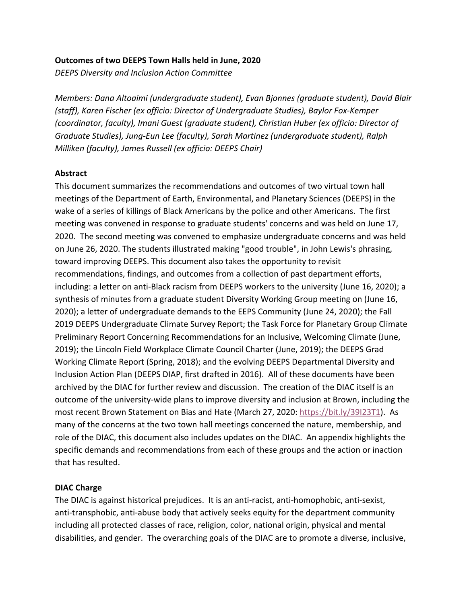#### **Outcomes of two DEEPS Town Halls held in June, 2020**

*DEEPS Diversity and Inclusion Action Committee*

*Members: Dana Altoaimi (undergraduate student), Evan Bjonnes (graduate student), David Blair (staff), Karen Fischer (ex officio: Director of Undergraduate Studies), Baylor Fox-Kemper (coordinator, faculty), Imani Guest (graduate student), Christian Huber (ex officio: Director of Graduate Studies), Jung-Eun Lee (faculty), Sarah Martinez (undergraduate student), Ralph Milliken (faculty), James Russell (ex officio: DEEPS Chair)*

#### **Abstract**

This document summarizes the recommendations and outcomes of two virtual town hall meetings of the Department of Earth, Environmental, and Planetary Sciences (DEEPS) in the wake of a series of killings of Black Americans by the police and other Americans. The first meeting was convened in response to graduate students' concerns and was held on June 17, 2020. The second meeting was convened to emphasize undergraduate concerns and was held on June 26, 2020. The students illustrated making "good trouble", in John Lewis's phrasing, toward improving DEEPS. This document also takes the opportunity to revisit recommendations, findings, and outcomes from a collection of past department efforts, including: a letter on anti-Black racism from DEEPS workers to the university (June 16, 2020); a synthesis of minutes from a graduate student Diversity Working Group meeting on (June 16, 2020); a letter of undergraduate demands to the EEPS Community (June 24, 2020); the Fall 2019 DEEPS Undergraduate Climate Survey Report; the Task Force for Planetary Group Climate Preliminary Report Concerning Recommendations for an Inclusive, Welcoming Climate (June, 2019); the Lincoln Field Workplace Climate Council Charter (June, 2019); the DEEPS Grad Working Climate Report (Spring, 2018); and the evolving DEEPS Departmental Diversity and Inclusion Action Plan (DEEPS DIAP, first drafted in 2016). All of these documents have been archived by the DIAC for further review and discussion. The creation of the DIAC itself is an outcome of the university-wide plans to improve diversity and inclusion at Brown, including the most recent Brown Statement on Bias and Hate (March 27, 2020: [https://bit.ly/39I23T1\)](https://bit.ly/39I23T1). As many of the concerns at the two town hall meetings concerned the nature, membership, and role of the DIAC, this document also includes updates on the DIAC. An appendix highlights the specific demands and recommendations from each of these groups and the action or inaction that has resulted.

#### **DIAC Charge**

The DIAC is against historical prejudices. It is an anti-racist, anti-homophobic, anti-sexist, anti-transphobic, anti-abuse body that actively seeks equity for the department community including all protected classes of race, religion, color, national origin, physical and mental disabilities, and gender. The overarching goals of the DIAC are to promote a diverse, inclusive,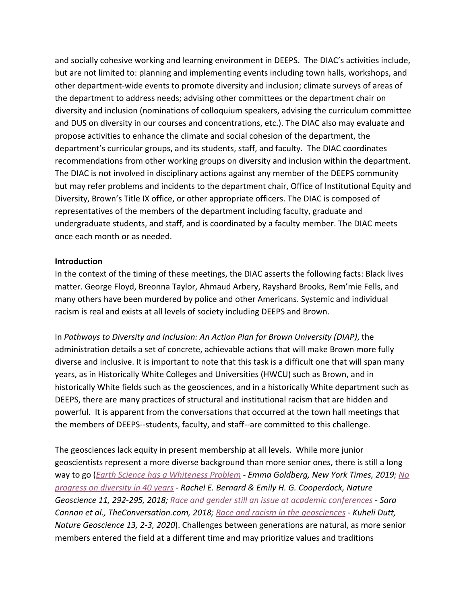and socially cohesive working and learning environment in DEEPS. The DIAC's activities include, but are not limited to: planning and implementing events including town halls, workshops, and other department-wide events to promote diversity and inclusion; climate surveys of areas of the department to address needs; advising other committees or the department chair on diversity and inclusion (nominations of colloquium speakers, advising the curriculum committee and DUS on diversity in our courses and concentrations, etc.). The DIAC also may evaluate and propose activities to enhance the climate and social cohesion of the department, the department's curricular groups, and its students, staff, and faculty. The DIAC coordinates recommendations from other working groups on diversity and inclusion within the department. The DIAC is not involved in disciplinary actions against any member of the DEEPS community but may refer problems and incidents to the department chair, Office of Institutional Equity and Diversity, Brown's Title IX office, or other appropriate officers. The DIAC is composed of representatives of the members of the department including faculty, graduate and undergraduate students, and staff, and is coordinated by a faculty member. The DIAC meets once each month or as needed.

#### **Introduction**

In the context of the timing of these meetings, the DIAC asserts the following facts: Black lives matter. George Floyd, Breonna Taylor, Ahmaud Arbery, Rayshard Brooks, Rem'mie Fells, and many others have been murdered by police and other Americans. Systemic and individual racism is real and exists at all levels of society including DEEPS and Brown.

In *Pathways to Diversity and Inclusion: An Action Plan for Brown University (DIAP)*, the administration details a set of concrete, achievable actions that will make Brown more fully diverse and inclusive. It is important to note that this task is a difficult one that will span many years, as in Historically White Colleges and Universities (HWCU) such as Brown, and in historically White fields such as the geosciences, and in a historically White department such as DEEPS, there are many practices of structural and institutional racism that are hidden and powerful. It is apparent from the conversations that occurred at the town hall meetings that the members of DEEPS--students, faculty, and staff--are committed to this challenge.

The geosciences lack equity in present membership at all levels. While more junior geoscientists represent a more diverse background than more senior ones, there is still a long way to go (*[Earth Science has a Whiteness Problem](https://www.nytimes.com/2019/12/23/science/earth-science-diversity-education.html) - Emma Goldberg, New York Times, 2019; [No](https://www.nature.com/articles/s41561-018-0116-6) [progress on diversity in 40 years](https://www.nature.com/articles/s41561-018-0116-6) - Rachel E. Bernard & Emily H. G. Cooperdock, Nature Geoscience 11, 292-295, 2018; [Race and gender still an issue at academic conferences](https://theconversation.com/race-and-gender-still-an-issue-at-academic-conferences-92588) - Sara Cannon et al., TheConversation.com, 2018[;](http://www.nature.com/articles/s41561-019-0519-z) [Race and racism in the geosciences](http://www.nature.com/articles/s41561-019-0519-z) - Kuheli Dutt, Nature Geoscience 13, 2-3, 2020*). Challenges between generations are natural, as more senior members entered the field at a different time and may prioritize values and traditions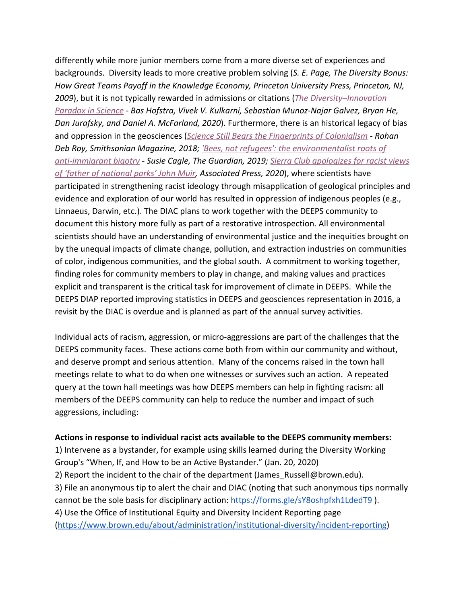differently while more junior members come from a more diverse set of experiences and backgrounds. Diversity leads to more creative problem solving (*S. E. Page, The Diversity Bonus: How Great Teams Payoff in the Knowledge Economy, Princeton University Press, Princeton, NJ, 2009*), but it is not typically rewarded in admissions or citations (*[The Diversity–Innovation](https://www.pnas.org/content/117/17/9284) [Paradox in Science](https://www.pnas.org/content/117/17/9284) - Bas Hofstra, Vivek V. Kulkarni, Sebastian Munoz-Najar Galvez, Bryan He, Dan Jurafsky, and Daniel A. McFarland, 2020*). Furthermore, there is an historical legacy of bias and oppression in the geosciences (*[Science Still Bears the Fingerprints of Colonialism](https://www.smithsonianmag.com/science-nature/science-bears-fingerprints-colonialism-180968709/) - Rohan Deb Roy, Smithsonian Magazine, 2018; ['Bees, not refugees': the environmentalist roots of](https://www.theguardian.com/environment/2019/aug/15/anti) [anti-immigrant bigotry](https://www.theguardian.com/environment/2019/aug/15/anti) - Susie Cagle, The Guardian, 2019; [Sierra Club apologizes for racist views](https://www.washingtonpost.com/climate-environment/sierra-club-apologizes-for-founder-john-muirs-racist-views/2020/07/22/5f932f20-cc78-11ea-99b0-8426e26d203b_story.html) [of 'father of national parks' John Muir](https://www.washingtonpost.com/climate-environment/sierra-club-apologizes-for-founder-john-muirs-racist-views/2020/07/22/5f932f20-cc78-11ea-99b0-8426e26d203b_story.html), Associated Press, 2020*), where scientists have participated in strengthening racist ideology through misapplication of geological principles and evidence and exploration of our world has resulted in oppression of indigenous peoples (e.g., Linnaeus, Darwin, etc.). The DIAC plans to work together with the DEEPS community to document this history more fully as part of a restorative introspection. All environmental scientists should have an understanding of environmental justice and the inequities brought on by the unequal impacts of climate change, pollution, and extraction industries on communities of color, indigenous communities, and the global south. A commitment to working together, finding roles for community members to play in change, and making values and practices explicit and transparent is the critical task for improvement of climate in DEEPS. While the DEEPS DIAP reported improving statistics in DEEPS and geosciences representation in 2016, a revisit by the DIAC is overdue and is planned as part of the annual survey activities.

Individual acts of racism, aggression, or micro-aggressions are part of the challenges that the DEEPS community faces. These actions come both from within our community and without, and deserve prompt and serious attention. Many of the concerns raised in the town hall meetings relate to what to do when one witnesses or survives such an action. A repeated query at the town hall meetings was how DEEPS members can help in fighting racism: all members of the DEEPS community can help to reduce the number and impact of such aggressions, including:

#### **Actions in response to individual racist acts available to the DEEPS community members:**

1) Intervene as a bystander, for example using skills learned during the Diversity Working Group's "When, If, and How to be an Active Bystander." (Jan. 20, 2020) 2) Report the incident to the chair of the department (James Russell@brown.edu). 3) File an anonymous tip to alert the chair and DIAC (noting that such anonymous tips normally cannot be the sole basis for disciplinary action: <https://forms.gle/sY8oshpfxh1LdedT9>). 4) Use the Office of Institutional Equity and Diversity Incident Reporting page (<https://www.brown.edu/about/administration/institutional-diversity/incident-reporting>)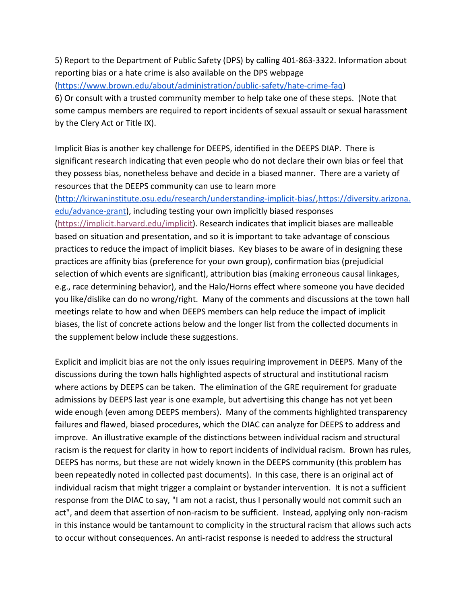5) Report to the Department of Public Safety (DPS) by calling 401-863-3322. Information about reporting bias or a hate crime is also available on the DPS webpage

([https://www.brown.edu/about/administration/public-safety/hate-crime-faq\)](https://www.brown.edu/about/administration/public-safety/hate-crime-faq)

6) Or consult with a trusted community member to help take one of these steps. (Note that some campus members are required to report incidents of sexual assault or sexual harassment by the Clery Act or Title IX).

Implicit Bias is another key challenge for DEEPS, identified in the DEEPS DIAP. There is significant research indicating that even people who do not declare their own bias or feel that they possess bias, nonetheless behave and decide in a biased manner. There are a variety of resources that the DEEPS community can use to learn more

(<http://kirwaninstitute.osu.edu/research/understanding-implicit-bias/>[,https://diversity.arizona.](https://diversity.arizona.edu/advance-grant) [edu/advance-grant](https://diversity.arizona.edu/advance-grant)), including testing your own implicitly biased responses ([https://implicit.harvard.edu/implicit\)](https://implicit.harvard.edu/implicit). Research indicates that implicit biases are malleable based on situation and presentation, and so it is important to take advantage of conscious practices to reduce the impact of implicit biases. Key biases to be aware of in designing these practices are affinity bias (preference for your own group), confirmation bias (prejudicial selection of which events are significant), attribution bias (making erroneous causal linkages, e.g., race determining behavior), and the Halo/Horns effect where someone you have decided you like/dislike can do no wrong/right. Many of the comments and discussions at the town hall meetings relate to how and when DEEPS members can help reduce the impact of implicit biases, the list of concrete actions below and the longer list from the collected documents in the supplement below include these suggestions.

Explicit and implicit bias are not the only issues requiring improvement in DEEPS. Many of the discussions during the town halls highlighted aspects of structural and institutional racism where actions by DEEPS can be taken. The elimination of the GRE requirement for graduate admissions by DEEPS last year is one example, but advertising this change has not yet been wide enough (even among DEEPS members). Many of the comments highlighted transparency failures and flawed, biased procedures, which the DIAC can analyze for DEEPS to address and improve. An illustrative example of the distinctions between individual racism and structural racism is the request for clarity in how to report incidents of individual racism. Brown has rules, DEEPS has norms, but these are not widely known in the DEEPS community (this problem has been repeatedly noted in collected past documents). In this case, there is an original act of individual racism that might trigger a complaint or bystander intervention. It is not a sufficient response from the DIAC to say, "I am not a racist, thus I personally would not commit such an act", and deem that assertion of non-racism to be sufficient. Instead, applying only non-racism in this instance would be tantamount to complicity in the structural racism that allows such acts to occur without consequences. An anti-racist response is needed to address the structural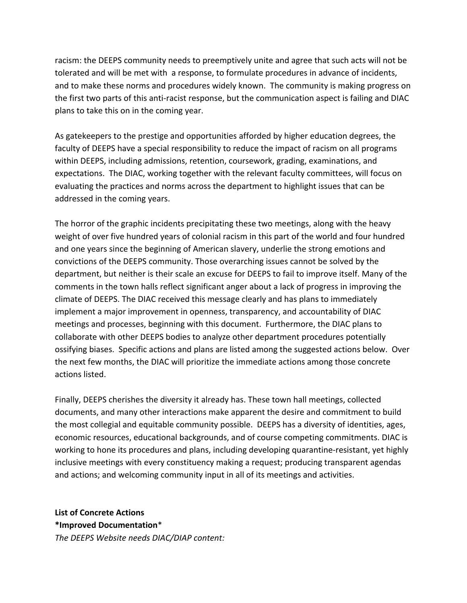racism: the DEEPS community needs to preemptively unite and agree that such acts will not be tolerated and will be met with a response, to formulate procedures in advance of incidents, and to make these norms and procedures widely known. The community is making progress on the first two parts of this anti-racist response, but the communication aspect is failing and DIAC plans to take this on in the coming year.

As gatekeepers to the prestige and opportunities afforded by higher education degrees, the faculty of DEEPS have a special responsibility to reduce the impact of racism on all programs within DEEPS, including admissions, retention, coursework, grading, examinations, and expectations. The DIAC, working together with the relevant faculty committees, will focus on evaluating the practices and norms across the department to highlight issues that can be addressed in the coming years.

The horror of the graphic incidents precipitating these two meetings, along with the heavy weight of over five hundred years of colonial racism in this part of the world and four hundred and one years since the beginning of American slavery, underlie the strong emotions and convictions of the DEEPS community. Those overarching issues cannot be solved by the department, but neither is their scale an excuse for DEEPS to fail to improve itself. Many of the comments in the town halls reflect significant anger about a lack of progress in improving the climate of DEEPS. The DIAC received this message clearly and has plans to immediately implement a major improvement in openness, transparency, and accountability of DIAC meetings and processes, beginning with this document. Furthermore, the DIAC plans to collaborate with other DEEPS bodies to analyze other department procedures potentially ossifying biases. Specific actions and plans are listed among the suggested actions below. Over the next few months, the DIAC will prioritize the immediate actions among those concrete actions listed.

Finally, DEEPS cherishes the diversity it already has. These town hall meetings, collected documents, and many other interactions make apparent the desire and commitment to build the most collegial and equitable community possible. DEEPS has a diversity of identities, ages, economic resources, educational backgrounds, and of course competing commitments. DIAC is working to hone its procedures and plans, including developing quarantine-resistant, yet highly inclusive meetings with every constituency making a request; producing transparent agendas and actions; and welcoming community input in all of its meetings and activities.

**List of Concrete Actions \*Improved Documentation**\* *The DEEPS Website needs DIAC/DIAP content:*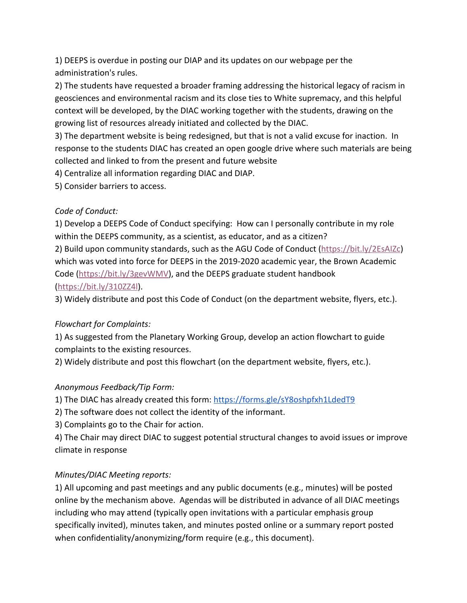1) DEEPS is overdue in posting our DIAP and its updates on our webpage per the administration's rules.

2) The students have requested a broader framing addressing the historical legacy of racism in geosciences and environmental racism and its close ties to White supremacy, and this helpful context will be developed, by the DIAC working together with the students, drawing on the growing list of resources already initiated and collected by the DIAC.

3) The department website is being redesigned, but that is not a valid excuse for inaction. In response to the students DIAC has created an open google drive where such materials are being collected and linked to from the present and future website

4) Centralize all information regarding DIAC and DIAP.

5) Consider barriers to access.

### *Code of Conduct:*

1) Develop a DEEPS Code of Conduct specifying: How can I personally contribute in my role within the DEEPS community, as a scientist, as educator, and as a citizen? 2) Build upon community standards, such as the AGU Code of Conduct (<https://bit.ly/2EsAIZc>) which was voted into force for DEEPS in the 2019-2020 academic year, the Brown Academic

Code ([https://bit.ly/3gevWMV\)](https://bit.ly/3gevWMV), and the DEEPS graduate student handbook

### ([https://bit.ly/310ZZ4l\)](https://bit.ly/310ZZ4l).

3) Widely distribute and post this Code of Conduct (on the department website, flyers, etc.).

# *Flowchart for Complaints:*

1) As suggested from the Planetary Working Group, develop an action flowchart to guide complaints to the existing resources.

2) Widely distribute and post this flowchart (on the department website, flyers, etc.).

# *Anonymous Feedback/Tip Form:*

1) The DIAC has already created this form: <https://forms.gle/sY8oshpfxh1LdedT9>

2) The software does not collect the identity of the informant.

3) Complaints go to the Chair for action.

4) The Chair may direct DIAC to suggest potential structural changes to avoid issues or improve climate in response

# *Minutes/DIAC Meeting reports:*

1) All upcoming and past meetings and any public documents (e.g., minutes) will be posted online by the mechanism above. Agendas will be distributed in advance of all DIAC meetings including who may attend (typically open invitations with a particular emphasis group specifically invited), minutes taken, and minutes posted online or a summary report posted when confidentiality/anonymizing/form require (e.g., this document).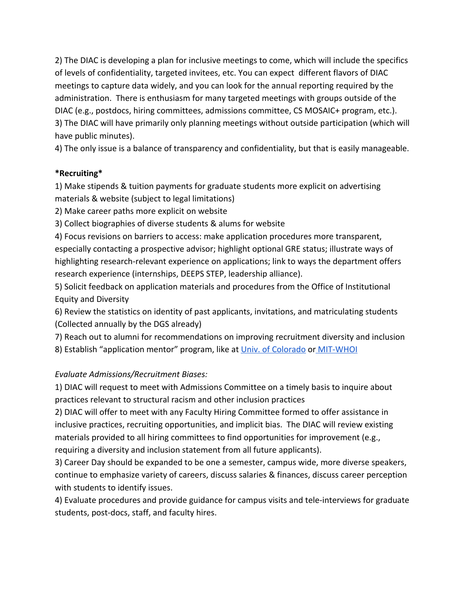2) The DIAC is developing a plan for inclusive meetings to come, which will include the specifics of levels of confidentiality, targeted invitees, etc. You can expect different flavors of DIAC meetings to capture data widely, and you can look for the annual reporting required by the administration. There is enthusiasm for many targeted meetings with groups outside of the DIAC (e.g., postdocs, hiring committees, admissions committee, CS MOSAIC+ program, etc.). 3) The DIAC will have primarily only planning meetings without outside participation (which will have public minutes).

4) The only issue is a balance of transparency and confidentiality, but that is easily manageable.

### **\*Recruiting\***

1) Make stipends & tuition payments for graduate students more explicit on advertising materials & website (subject to legal limitations)

2) Make career paths more explicit on website

3) Collect biographies of diverse students & alums for website

4) Focus revisions on barriers to access: make application procedures more transparent, especially contacting a prospective advisor; highlight optional GRE status; illustrate ways of highlighting research-relevant experience on applications; link to ways the department offers research experience (internships, DEEPS STEP, leadership alliance).

5) Solicit feedback on application materials and procedures from the Office of Institutional Equity and Diversity

6) Review the statistics on identity of past applicants, invitations, and matriculating students (Collected annually by the DGS already)

7) Reach out to alumni for recommendations on improving recruitment diversity and inclusion

8) Establish "application mentor" program, like at [Univ. of Colorado](https://sites.google.com/colorado.edu/atoc-grad-application-mentor/home) o[r MIT-WHOI](https://mit.whoi.edu/admissions/apply/jp-applicant-service-knowledgebase-jp-ask/)

### *Evaluate Admissions/Recruitment Biases:*

1) DIAC will request to meet with Admissions Committee on a timely basis to inquire about practices relevant to structural racism and other inclusion practices

2) DIAC will offer to meet with any Faculty Hiring Committee formed to offer assistance in inclusive practices, recruiting opportunities, and implicit bias. The DIAC will review existing materials provided to all hiring committees to find opportunities for improvement (e.g., requiring a diversity and inclusion statement from all future applicants).

3) Career Day should be expanded to be one a semester, campus wide, more diverse speakers, continue to emphasize variety of careers, discuss salaries & finances, discuss career perception with students to identify issues.

4) Evaluate procedures and provide guidance for campus visits and tele-interviews for graduate students, post-docs, staff, and faculty hires.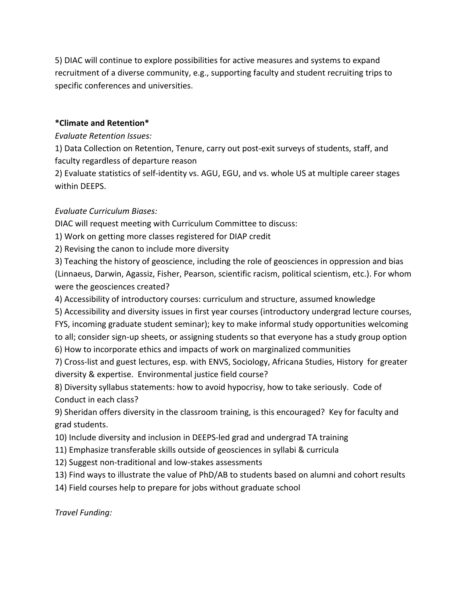5) DIAC will continue to explore possibilities for active measures and systems to expand recruitment of a diverse community, e.g., supporting faculty and student recruiting trips to specific conferences and universities.

#### **\*Climate and Retention\***

*Evaluate Retention Issues:*

1) Data Collection on Retention, Tenure, carry out post-exit surveys of students, staff, and faculty regardless of departure reason

2) Evaluate statistics of self-identity vs. AGU, EGU, and vs. whole US at multiple career stages within DEEPS.

### *Evaluate Curriculum Biases:*

DIAC will request meeting with Curriculum Committee to discuss:

1) Work on getting more classes registered for DIAP credit

2) Revising the canon to include more diversity

3) Teaching the history of geoscience, including the role of geosciences in oppression and bias (Linnaeus, Darwin, Agassiz, Fisher, Pearson, scientific racism, political scientism, etc.). For whom were the geosciences created?

4) Accessibility of introductory courses: curriculum and structure, assumed knowledge

5) Accessibility and diversity issues in first year courses (introductory undergrad lecture courses,

FYS, incoming graduate student seminar); key to make informal study opportunities welcoming to all; consider sign-up sheets, or assigning students so that everyone has a study group option 6) How to incorporate ethics and impacts of work on marginalized communities

7) Cross-list and guest lectures, esp. with ENVS, Sociology, Africana Studies, History for greater diversity & expertise. Environmental justice field course?

8) Diversity syllabus statements: how to avoid hypocrisy, how to take seriously. Code of Conduct in each class?

9) Sheridan offers diversity in the classroom training, is this encouraged? Key for faculty and grad students.

10) Include diversity and inclusion in DEEPS-led grad and undergrad TA training

11) Emphasize transferable skills outside of geosciences in syllabi & curricula

12) Suggest non-traditional and low-stakes assessments

13) Find ways to illustrate the value of PhD/AB to students based on alumni and cohort results

14) Field courses help to prepare for jobs without graduate school

*Travel Funding:*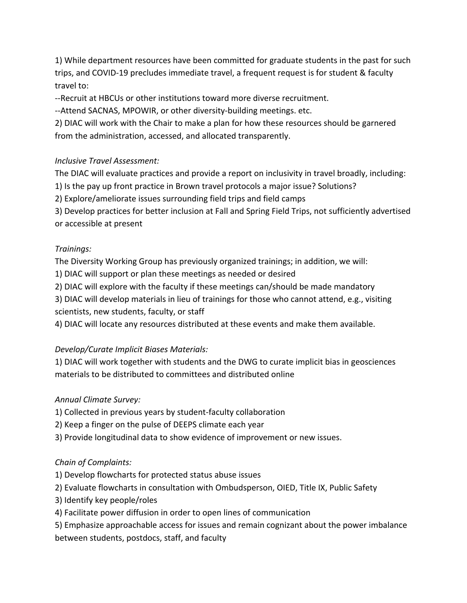1) While department resources have been committed for graduate students in the past for such trips, and COVID-19 precludes immediate travel, a frequent request is for student & faculty travel to:

--Recruit at HBCUs or other institutions toward more diverse recruitment.

--Attend SACNAS, MPOWIR, or other diversity-building meetings. etc.

2) DIAC will work with the Chair to make a plan for how these resources should be garnered from the administration, accessed, and allocated transparently.

## *Inclusive Travel Assessment:*

The DIAC will evaluate practices and provide a report on inclusivity in travel broadly, including:

1) Is the pay up front practice in Brown travel protocols a major issue? Solutions?

2) Explore/ameliorate issues surrounding field trips and field camps

3) Develop practices for better inclusion at Fall and Spring Field Trips, not sufficiently advertised or accessible at present

## *Trainings:*

The Diversity Working Group has previously organized trainings; in addition, we will:

1) DIAC will support or plan these meetings as needed or desired

2) DIAC will explore with the faculty if these meetings can/should be made mandatory

3) DIAC will develop materials in lieu of trainings for those who cannot attend, e.g., visiting scientists, new students, faculty, or staff

4) DIAC will locate any resources distributed at these events and make them available.

# *Develop/Curate Implicit Biases Materials:*

1) DIAC will work together with students and the DWG to curate implicit bias in geosciences materials to be distributed to committees and distributed online

# *Annual Climate Survey:*

1) Collected in previous years by student-faculty collaboration

2) Keep a finger on the pulse of DEEPS climate each year

3) Provide longitudinal data to show evidence of improvement or new issues.

# *Chain of Complaints:*

1) Develop flowcharts for protected status abuse issues

2) Evaluate flowcharts in consultation with Ombudsperson, OIED, Title IX, Public Safety

3) Identify key people/roles

4) Facilitate power diffusion in order to open lines of communication

5) Emphasize approachable access for issues and remain cognizant about the power imbalance between students, postdocs, staff, and faculty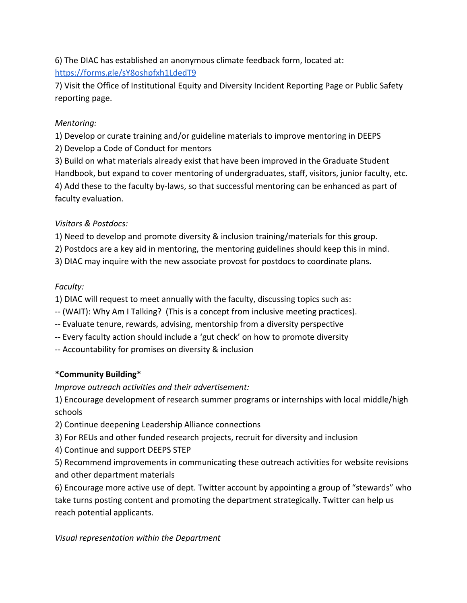6) The DIAC has established an anonymous climate feedback form, located at: <https://forms.gle/sY8oshpfxh1LdedT9>

7) Visit the Office of Institutional Equity and Diversity Incident Reporting Page or Public Safety reporting page.

## *Mentoring:*

1) Develop or curate training and/or guideline materials to improve mentoring in DEEPS

2) Develop a Code of Conduct for mentors

3) Build on what materials already exist that have been improved in the Graduate Student Handbook, but expand to cover mentoring of undergraduates, staff, visitors, junior faculty, etc. 4) Add these to the faculty by-laws, so that successful mentoring can be enhanced as part of faculty evaluation.

# *Visitors & Postdocs:*

1) Need to develop and promote diversity & inclusion training/materials for this group.

2) Postdocs are a key aid in mentoring, the mentoring guidelines should keep this in mind.

3) DIAC may inquire with the new associate provost for postdocs to coordinate plans.

# *Faculty:*

1) DIAC will request to meet annually with the faculty, discussing topics such as:

- -- (WAIT): Why Am I Talking? (This is a concept from inclusive meeting practices).
- -- Evaluate tenure, rewards, advising, mentorship from a diversity perspective
- -- Every faculty action should include a 'gut check' on how to promote diversity

-- Accountability for promises on diversity & inclusion

# **\*Community Building\***

*Improve outreach activities and their advertisement:*

1) Encourage development of research summer programs or internships with local middle/high schools

2) Continue deepening Leadership Alliance connections

3) For REUs and other funded research projects, recruit for diversity and inclusion

4) Continue and support DEEPS STEP

5) Recommend improvements in communicating these outreach activities for website revisions and other department materials

6) Encourage more active use of dept. Twitter account by appointing a group of "stewards" who take turns posting content and promoting the department strategically. Twitter can help us reach potential applicants.

*Visual representation within the Department*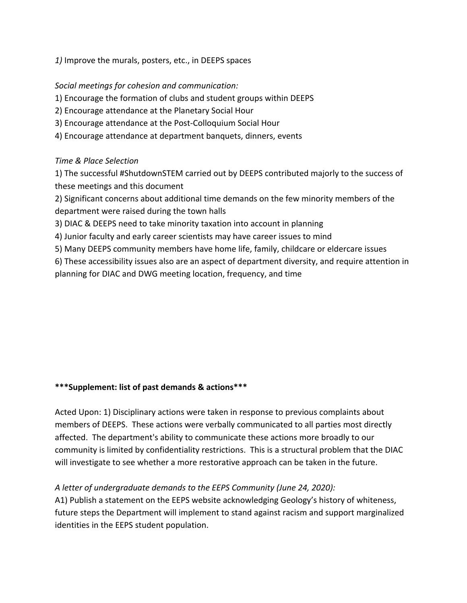*1)* Improve the murals, posters, etc., in DEEPS spaces

#### *Social meetings for cohesion and communication:*

- 1) Encourage the formation of clubs and student groups within DEEPS
- 2) Encourage attendance at the Planetary Social Hour
- 3) Encourage attendance at the Post-Colloquium Social Hour
- 4) Encourage attendance at department banquets, dinners, events

## *Time & Place Selection*

1) The successful #ShutdownSTEM carried out by DEEPS contributed majorly to the success of these meetings and this document

2) Significant concerns about additional time demands on the few minority members of the department were raised during the town halls

- 3) DIAC & DEEPS need to take minority taxation into account in planning
- 4) Junior faculty and early career scientists may have career issues to mind
- 5) Many DEEPS community members have home life, family, childcare or eldercare issues

6) These accessibility issues also are an aspect of department diversity, and require attention in planning for DIAC and DWG meeting location, frequency, and time

### **\*\*\*Supplement: list of past demands & actions\*\*\***

Acted Upon: 1) Disciplinary actions were taken in response to previous complaints about members of DEEPS. These actions were verbally communicated to all parties most directly affected. The department's ability to communicate these actions more broadly to our community is limited by confidentiality restrictions. This is a structural problem that the DIAC will investigate to see whether a more restorative approach can be taken in the future.

# *A letter of undergraduate demands to the EEPS Community (June 24, 2020):*

A1) Publish a statement on the EEPS website acknowledging Geology's history of whiteness, future steps the Department will implement to stand against racism and support marginalized identities in the EEPS student population.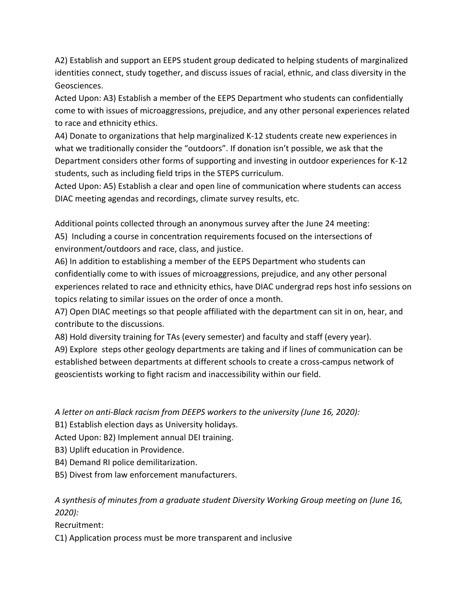A2) Establish and support an EEPS student group dedicated to helping students of marginalized identities connect, study together, and discuss issues of racial, ethnic, and class diversity in the Geosciences.

Acted Upon: A3) Establish a member of the EEPS Department who students can confidentially come to with issues of microaggressions, prejudice, and any other personal experiences related to race and ethnicity ethics.

A4) Donate to organizations that help marginalized K-12 students create new experiences in what we traditionally consider the "outdoors". If donation isn't possible, we ask that the Department considers other forms of supporting and investing in outdoor experiences for K-12 students, such as including field trips in the STEPS curriculum.

Acted Upon: A5) Establish a clear and open line of communication where students can access DIAC meeting agendas and recordings, climate survey results, etc.

Additional points collected through an anonymous survey after the June 24 meeting: A5) Including a course in concentration requirements focused on the intersections of environment/outdoors and race, class, and justice.

A6) In addition to establishing a member of the EEPS Department who students can confidentially come to with issues of microaggressions, prejudice, and any other personal experiences related to race and ethnicity ethics, have DIAC undergrad reps host info sessions on topics relating to similar issues on the order of once a month.

A7) Open DIAC meetings so that people affiliated with the department can sit in on, hear, and contribute to the discussions.

A8) Hold diversity training for TAs (every semester) and faculty and staff (every year).

A9) Explore steps other geology departments are taking and if lines of communication can be established between departments at different schools to create a cross-campus network of geoscientists working to fight racism and inaccessibility within our field.

*A letter on anti-Black racism from DEEPS workers to the university (June 16, 2020):*

B1) Establish election days as University holidays.

Acted Upon: B2) Implement annual DEI training.

B3) Uplift education in Providence.

- B4) Demand RI police demilitarization.
- B5) Divest from law enforcement manufacturers.

# *A synthesis of minutes from a graduate student Diversity Working Group meeting on (June 16, 2020):*

Recruitment:

C1) Application process must be more transparent and inclusive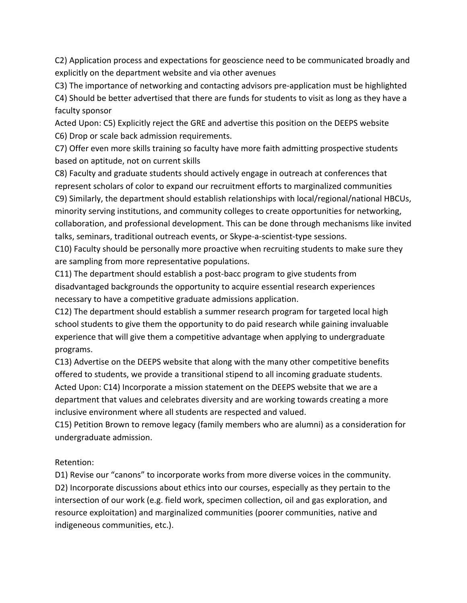C2) Application process and expectations for geoscience need to be communicated broadly and explicitly on the department website and via other avenues

C3) The importance of networking and contacting advisors pre-application must be highlighted

C4) Should be better advertised that there are funds for students to visit as long as they have a faculty sponsor

Acted Upon: C5) Explicitly reject the GRE and advertise this position on the DEEPS website C6) Drop or scale back admission requirements.

C7) Offer even more skills training so faculty have more faith admitting prospective students based on aptitude, not on current skills

C8) Faculty and graduate students should actively engage in outreach at conferences that represent scholars of color to expand our recruitment efforts to marginalized communities C9) Similarly, the department should establish relationships with local/regional/national HBCUs, minority serving institutions, and community colleges to create opportunities for networking, collaboration, and professional development. This can be done through mechanisms like invited talks, seminars, traditional outreach events, or Skype-a-scientist-type sessions.

C10) Faculty should be personally more proactive when recruiting students to make sure they are sampling from more representative populations.

C11) The department should establish a post-bacc program to give students from disadvantaged backgrounds the opportunity to acquire essential research experiences necessary to have a competitive graduate admissions application.

C12) The department should establish a summer research program for targeted local high school students to give them the opportunity to do paid research while gaining invaluable experience that will give them a competitive advantage when applying to undergraduate programs.

C13) Advertise on the DEEPS website that along with the many other competitive benefits offered to students, we provide a transitional stipend to all incoming graduate students. Acted Upon: C14) Incorporate a mission statement on the DEEPS website that we are a department that values and celebrates diversity and are working towards creating a more inclusive environment where all students are respected and valued.

C15) Petition Brown to remove legacy (family members who are alumni) as a consideration for undergraduate admission.

Retention:

D1) Revise our "canons" to incorporate works from more diverse voices in the community. D2) Incorporate discussions about ethics into our courses, especially as they pertain to the intersection of our work (e.g. field work, specimen collection, oil and gas exploration, and resource exploitation) and marginalized communities (poorer communities, native and indigeneous communities, etc.).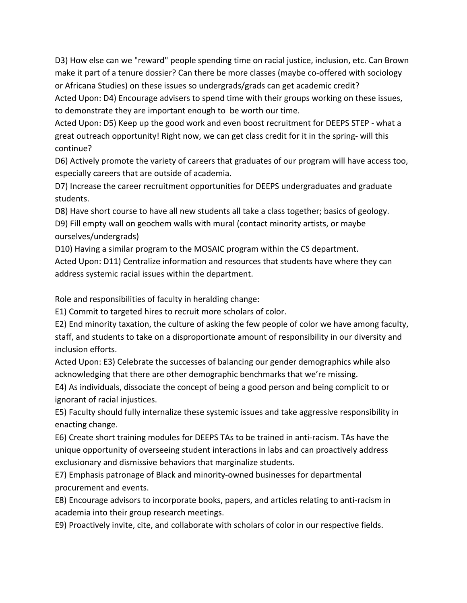D3) How else can we "reward" people spending time on racial justice, inclusion, etc. Can Brown make it part of a tenure dossier? Can there be more classes (maybe co-offered with sociology or Africana Studies) on these issues so undergrads/grads can get academic credit? Acted Upon: D4) Encourage advisers to spend time with their groups working on these issues,

to demonstrate they are important enough to be worth our time.

Acted Upon: D5) Keep up the good work and even boost recruitment for DEEPS STEP - what a great outreach opportunity! Right now, we can get class credit for it in the spring- will this continue?

D6) Actively promote the variety of careers that graduates of our program will have access too, especially careers that are outside of academia.

D7) Increase the career recruitment opportunities for DEEPS undergraduates and graduate students.

D8) Have short course to have all new students all take a class together; basics of geology.

D9) Fill empty wall on geochem walls with mural (contact minority artists, or maybe ourselves/undergrads)

D10) Having a similar program to the MOSAIC program within the CS department.

Acted Upon: D11) Centralize information and resources that students have where they can address systemic racial issues within the department.

Role and responsibilities of faculty in heralding change:

E1) Commit to targeted hires to recruit more scholars of color.

E2) End minority taxation, the culture of asking the few people of color we have among faculty,

staff, and students to take on a disproportionate amount of responsibility in our diversity and inclusion efforts.

Acted Upon: E3) Celebrate the successes of balancing our gender demographics while also acknowledging that there are other demographic benchmarks that we're missing.

E4) As individuals, dissociate the concept of being a good person and being complicit to or ignorant of racial injustices.

E5) Faculty should fully internalize these systemic issues and take aggressive responsibility in enacting change.

E6) Create short training modules for DEEPS TAs to be trained in anti-racism. TAs have the unique opportunity of overseeing student interactions in labs and can proactively address exclusionary and dismissive behaviors that marginalize students.

E7) Emphasis patronage of Black and minority-owned businesses for departmental procurement and events.

E8) Encourage advisors to incorporate books, papers, and articles relating to anti-racism in academia into their group research meetings.

E9) Proactively invite, cite, and collaborate with scholars of color in our respective fields.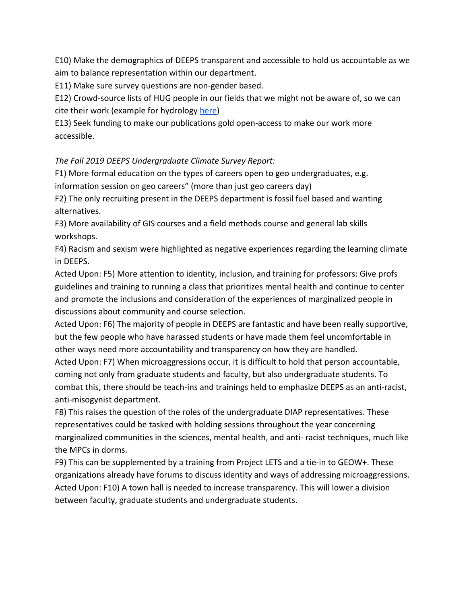E10) Make the demographics of DEEPS transparent and accessible to hold us accountable as we aim to balance representation within our department.

E11) Make sure survey questions are non-gender based.

E12) Crowd-source lists of HUG people in our fields that we might not be aware of, so we can cite their work (example for hydrology [here](https://docs.google.com/spreadsheets/d/1qlW0jFdig6Hu-YVRvZ1yd1N6Fl6dAndNnskmvM_myes/edit#gid=0))

E13) Seek funding to make our publications gold open-access to make our work more accessible.

*The Fall 2019 DEEPS Undergraduate Climate Survey Report:*

F1) More formal education on the types of careers open to geo undergraduates, e.g. information session on geo careers" (more than just geo careers day)

F2) The only recruiting present in the DEEPS department is fossil fuel based and wanting alternatives.

F3) More availability of GIS courses and a field methods course and general lab skills workshops.

F4) Racism and sexism were highlighted as negative experiences regarding the learning climate in DEEPS.

Acted Upon: F5) More attention to identity, inclusion, and training for professors: Give profs guidelines and training to running a class that prioritizes mental health and continue to center and promote the inclusions and consideration of the experiences of marginalized people in discussions about community and course selection.

Acted Upon: F6) The majority of people in DEEPS are fantastic and have been really supportive, but the few people who have harassed students or have made them feel uncomfortable in other ways need more accountability and transparency on how they are handled.

Acted Upon: F7) When microaggressions occur, it is difficult to hold that person accountable, coming not only from graduate students and faculty, but also undergraduate students. To combat this, there should be teach-ins and trainings held to emphasize DEEPS as an anti-racist, anti-misogynist department.

F8) This raises the question of the roles of the undergraduate DIAP representatives. These representatives could be tasked with holding sessions throughout the year concerning marginalized communities in the sciences, mental health, and anti- racist techniques, much like the MPCs in dorms.

F9) This can be supplemented by a training from Project LETS and a tie-in to GEOW+. These organizations already have forums to discuss identity and ways of addressing microaggressions. Acted Upon: F10) A town hall is needed to increase transparency. This will lower a division between faculty, graduate students and undergraduate students.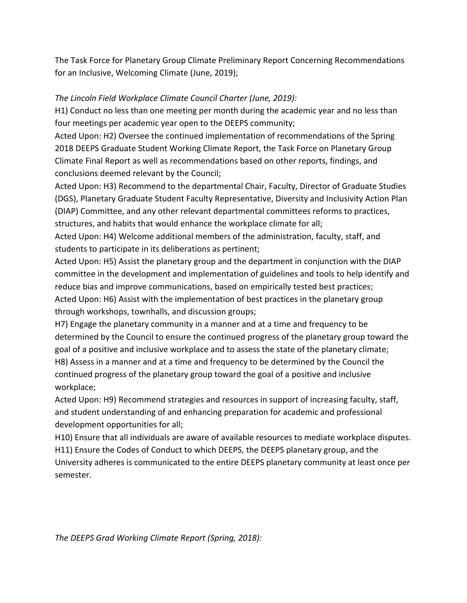The Task Force for Planetary Group Climate Preliminary Report Concerning Recommendations for an Inclusive, Welcoming Climate (June, 2019);

#### *The Lincoln Field Workplace Climate Council Charter (June, 2019):*

H1) Conduct no less than one meeting per month during the academic year and no less than four meetings per academic year open to the DEEPS community;

Acted Upon: H2) Oversee the continued implementation of recommendations of the Spring 2018 DEEPS Graduate Student Working Climate Report, the Task Force on Planetary Group Climate Final Report as well as recommendations based on other reports, findings, and conclusions deemed relevant by the Council;

Acted Upon: H3) Recommend to the departmental Chair, Faculty, Director of Graduate Studies (DGS), Planetary Graduate Student Faculty Representative, Diversity and Inclusivity Action Plan (DIAP) Committee, and any other relevant departmental committees reforms to practices, structures, and habits that would enhance the workplace climate for all;

Acted Upon: H4) Welcome additional members of the administration, faculty, staff, and students to participate in its deliberations as pertinent;

Acted Upon: H5) Assist the planetary group and the department in conjunction with the DIAP committee in the development and implementation of guidelines and tools to help identify and reduce bias and improve communications, based on empirically tested best practices; Acted Upon: H6) Assist with the implementation of best practices in the planetary group through workshops, townhalls, and discussion groups;

H7) Engage the planetary community in a manner and at a time and frequency to be determined by the Council to ensure the continued progress of the planetary group toward the goal of a positive and inclusive workplace and to assess the state of the planetary climate; H8) Assess in a manner and at a time and frequency to be determined by the Council the continued progress of the planetary group toward the goal of a positive and inclusive workplace;

Acted Upon: H9) Recommend strategies and resources in support of increasing faculty, staff, and student understanding of and enhancing preparation for academic and professional development opportunities for all;

H10) Ensure that all individuals are aware of available resources to mediate workplace disputes. H11) Ensure the Codes of Conduct to which DEEPS, the DEEPS planetary group, and the University adheres is communicated to the entire DEEPS planetary community at least once per semester.

*The DEEPS Grad Working Climate Report (Spring, 2018):*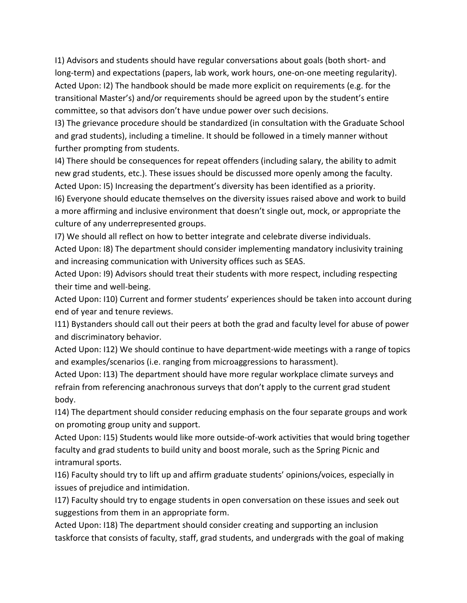I1) Advisors and students should have regular conversations about goals (both short- and long-term) and expectations (papers, lab work, work hours, one-on-one meeting regularity). Acted Upon: I2) The handbook should be made more explicit on requirements (e.g. for the transitional Master's) and/or requirements should be agreed upon by the student's entire committee, so that advisors don't have undue power over such decisions.

I3) The grievance procedure should be standardized (in consultation with the Graduate School and grad students), including a timeline. It should be followed in a timely manner without further prompting from students.

I4) There should be consequences for repeat offenders (including salary, the ability to admit new grad students, etc.). These issues should be discussed more openly among the faculty. Acted Upon: I5) Increasing the department's diversity has been identified as a priority.

I6) Everyone should educate themselves on the diversity issues raised above and work to build a more affirming and inclusive environment that doesn't single out, mock, or appropriate the culture of any underrepresented groups.

I7) We should all reflect on how to better integrate and celebrate diverse individuals. Acted Upon: I8) The department should consider implementing mandatory inclusivity training and increasing communication with University offices such as SEAS.

Acted Upon: I9) Advisors should treat their students with more respect, including respecting their time and well-being.

Acted Upon: I10) Current and former students' experiences should be taken into account during end of year and tenure reviews.

I11) Bystanders should call out their peers at both the grad and faculty level for abuse of power and discriminatory behavior.

Acted Upon: I12) We should continue to have department-wide meetings with a range of topics and examples/scenarios (i.e. ranging from microaggressions to harassment).

Acted Upon: I13) The department should have more regular workplace climate surveys and refrain from referencing anachronous surveys that don't apply to the current grad student body.

I14) The department should consider reducing emphasis on the four separate groups and work on promoting group unity and support.

Acted Upon: I15) Students would like more outside-of-work activities that would bring together faculty and grad students to build unity and boost morale, such as the Spring Picnic and intramural sports.

I16) Faculty should try to lift up and affirm graduate students' opinions/voices, especially in issues of prejudice and intimidation.

I17) Faculty should try to engage students in open conversation on these issues and seek out suggestions from them in an appropriate form.

Acted Upon: I18) The department should consider creating and supporting an inclusion taskforce that consists of faculty, staff, grad students, and undergrads with the goal of making